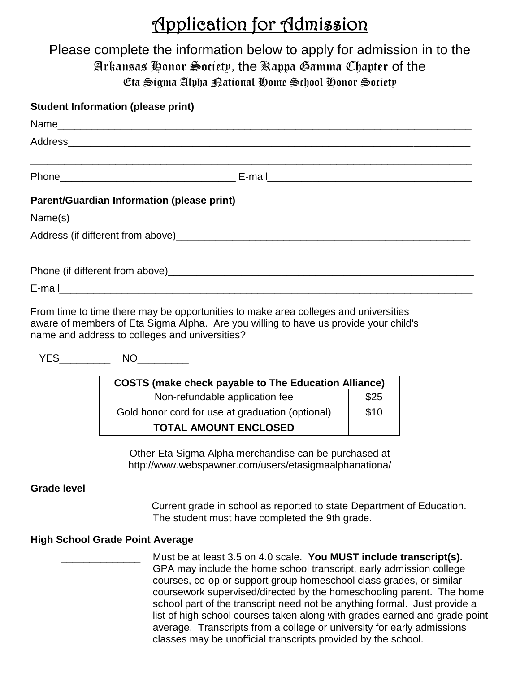# Application for Admission

## Please complete the information below to apply for admission in to the Arkansas Honor Society, the Kappa Gamma Chapter of the Eta Sigma Alpha National Home School Honor Society

### **Student Information (please print)**

| <b>Parent/Guardian Information (please print)</b> |  |
|---------------------------------------------------|--|
|                                                   |  |
|                                                   |  |
|                                                   |  |
|                                                   |  |

From time to time there may be opportunities to make area colleges and universities aware of members of Eta Sigma Alpha. Are you willing to have us provide your child's name and address to colleges and universities?

YES<sup>NO</sup>NO

| <b>COSTS (make check payable to The Education Alliance)</b> |      |  |  |
|-------------------------------------------------------------|------|--|--|
| Non-refundable application fee                              | \$25 |  |  |
| Gold honor cord for use at graduation (optional)            | \$10 |  |  |
| <b>TOTAL AMOUNT ENCLOSED</b>                                |      |  |  |

Other Eta Sigma Alpha merchandise can be purchased at http://www.webspawner.com/users/etasigmaalphanationa/

#### **Grade level**

Current grade in school as reported to state Department of Education. The student must have completed the 9th grade.

#### **High School Grade Point Average**

\_\_\_\_\_\_\_\_\_\_\_\_\_\_ Must be at least 3.5 on 4.0 scale. **You MUST include transcript(s).** GPA may include the home school transcript, early admission college courses, co-op or support group homeschool class grades, or similar coursework supervised/directed by the homeschooling parent. The home school part of the transcript need not be anything formal. Just provide a list of high school courses taken along with grades earned and grade point average. Transcripts from a college or university for early admissions classes may be unofficial transcripts provided by the school.